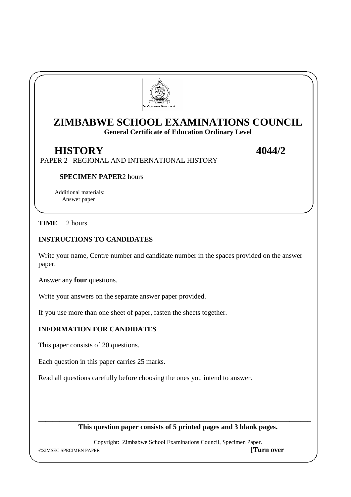

# **ZIMBABWE SCHOOL EXAMINATIONS COUNCIL General Certificate of Education Ordinary Level**

**HISTORY** 4044/2

PAPER 2 REGIONAL AND INTERNATIONAL HISTORY

### **SPECIMEN PAPER**2 hours

 Additional materials: Answer paper

**TIME** 2 hours

# **INSTRUCTIONS TO CANDIDATES**

Write your name, Centre number and candidate number in the spaces provided on the answer paper.

Answer any **four** questions.

Write your answers on the separate answer paper provided.

If you use more than one sheet of paper, fasten the sheets together.

### **INFORMATION FOR CANDIDATES**

This paper consists of 20 questions.

Each question in this paper carries 25 marks.

Read all questions carefully before choosing the ones you intend to answer.

#### \_\_\_\_\_\_\_\_\_\_\_\_\_\_\_\_\_\_\_\_\_\_\_\_\_\_\_\_\_\_\_\_\_\_\_\_\_\_\_\_\_\_\_\_\_\_\_\_\_\_\_\_\_\_\_\_\_\_\_\_\_\_\_\_\_\_\_\_\_\_\_\_\_\_\_\_\_ **This question paper consists of 5 printed pages and 3 blank pages.**

Copyright: Zimbabwe School Examinations Council, Specimen Paper.

ZIMSEC SPECIMEN PAPER **[Turn over**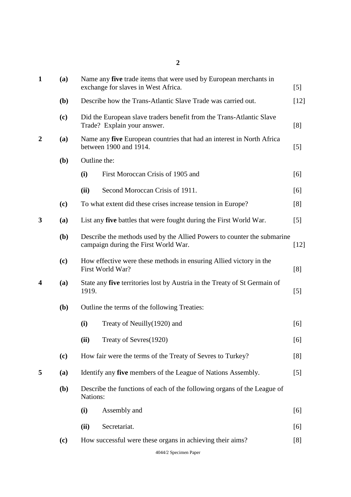| $\mathbf{1}$            | (a) |                                                                                     | Name any five trade items that were used by European merchants in<br>exchange for slaves in West Africa.        | $[5]$  |
|-------------------------|-----|-------------------------------------------------------------------------------------|-----------------------------------------------------------------------------------------------------------------|--------|
|                         | (b) |                                                                                     | Describe how the Trans-Atlantic Slave Trade was carried out.                                                    | $[12]$ |
|                         | (c) |                                                                                     | Did the European slave traders benefit from the Trans-Atlantic Slave<br>Trade? Explain your answer.             | [8]    |
| $\overline{2}$          | (a) |                                                                                     | Name any five European countries that had an interest in North Africa<br>between 1900 and 1914.                 | [5]    |
|                         | (b) |                                                                                     | Outline the:                                                                                                    |        |
|                         |     | (i)                                                                                 | First Moroccan Crisis of 1905 and                                                                               | [6]    |
|                         |     | (ii)                                                                                | Second Moroccan Crisis of 1911.                                                                                 | [6]    |
|                         | (c) |                                                                                     | To what extent did these crises increase tension in Europe?                                                     | [8]    |
| 3                       | (a) |                                                                                     | List any five battles that were fought during the First World War.                                              | $[5]$  |
|                         | (b) |                                                                                     | Describe the methods used by the Allied Powers to counter the submarine<br>campaign during the First World War. | $[12]$ |
|                         | (c) |                                                                                     | How effective were these methods in ensuring Allied victory in the<br>First World War?                          | [8]    |
| $\overline{\mathbf{4}}$ | (a) | 1919.                                                                               | State any five territories lost by Austria in the Treaty of St Germain of                                       | [5]    |
|                         | (b) |                                                                                     | Outline the terms of the following Treaties:                                                                    |        |
|                         |     | (i)                                                                                 | Treaty of Neuilly (1920) and                                                                                    | [6]    |
|                         |     | (ii)                                                                                | Treaty of Sevres(1920)                                                                                          | [6]    |
|                         | (c) |                                                                                     | How fair were the terms of the Treaty of Sevres to Turkey?                                                      | [8]    |
| 5                       | (a) |                                                                                     | Identify any five members of the League of Nations Assembly.                                                    | [5]    |
|                         | (b) | Describe the functions of each of the following organs of the League of<br>Nations: |                                                                                                                 |        |
|                         |     | (i)                                                                                 | Assembly and                                                                                                    | [6]    |
|                         |     | (ii)                                                                                | Secretariat.                                                                                                    | [6]    |
|                         | (c) |                                                                                     | How successful were these organs in achieving their aims?                                                       | [8]    |
|                         |     |                                                                                     | 4044/2 Specimen Paper                                                                                           |        |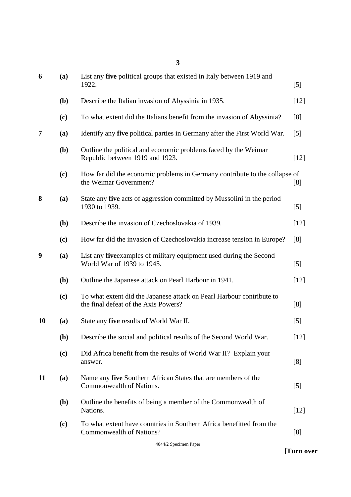| 6         | (a)          | List any five political groups that existed in Italy between 1919 and<br>1922.                                | [5]    |
|-----------|--------------|---------------------------------------------------------------------------------------------------------------|--------|
|           | (b)          | Describe the Italian invasion of Abyssinia in 1935.                                                           | $[12]$ |
|           | (c)          | To what extent did the Italians benefit from the invasion of Abyssinia?                                       | [8]    |
| 7         | (a)          | Identify any five political parties in Germany after the First World War.                                     | [5]    |
|           | (b)          | Outline the political and economic problems faced by the Weimar<br>Republic between 1919 and 1923.            | $[12]$ |
|           | (c)          | How far did the economic problems in Germany contribute to the collapse of<br>the Weimar Government?          | [8]    |
| 8         | (a)          | State any five acts of aggression committed by Mussolini in the period<br>1930 to 1939.                       | [5]    |
|           | ( <b>b</b> ) | Describe the invasion of Czechoslovakia of 1939.                                                              | $[12]$ |
|           | (c)          | How far did the invasion of Czechoslovakia increase tension in Europe?                                        | [8]    |
| 9         | (a)          | List any five examples of military equipment used during the Second<br>World War of 1939 to 1945.             | [5]    |
|           | ( <b>b</b> ) | Outline the Japanese attack on Pearl Harbour in 1941.                                                         | $[12]$ |
|           | (c)          | To what extent did the Japanese attack on Pearl Harbour contribute to<br>the final defeat of the Axis Powers? | [8]    |
| <b>10</b> | (a)          | State any <b>five</b> results of World War II.                                                                | [5]    |
|           | (b)          | Describe the social and political results of the Second World War.                                            | $[12]$ |
|           | (c)          | Did Africa benefit from the results of World War II? Explain your<br>answer.                                  | [8]    |
| 11        | (a)          | Name any five Southern African States that are members of the<br>Commonwealth of Nations.                     | [5]    |
|           | <b>(b)</b>   | Outline the benefits of being a member of the Commonwealth of<br>Nations.                                     | $[12]$ |
|           | (c)          | To what extent have countries in Southern Africa benefitted from the<br>Commonwealth of Nations?              | [8]    |
|           |              | 4044/2 Specimen Paper                                                                                         |        |

**[Turn over**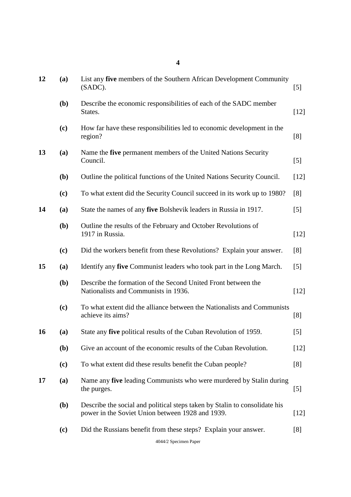| 12 | (a)          | List any five members of the Southern African Development Community<br>(SADC).                                                 | [5]              |
|----|--------------|--------------------------------------------------------------------------------------------------------------------------------|------------------|
|    | (b)          | Describe the economic responsibilities of each of the SADC member<br>States.                                                   | $[12]$           |
|    | (c)          | How far have these responsibilities led to economic development in the<br>region?                                              | [8]              |
| 13 | (a)          | Name the five permanent members of the United Nations Security<br>Council.                                                     | [5]              |
|    | (b)          | Outline the political functions of the United Nations Security Council.                                                        | $[12]$           |
|    | (c)          | To what extent did the Security Council succeed in its work up to 1980?                                                        | [8]              |
| 14 | (a)          | State the names of any five Bolshevik leaders in Russia in 1917.                                                               | $[5]$            |
|    | (b)          | Outline the results of the February and October Revolutions of<br>1917 in Russia.                                              | $[12]$           |
|    | (c)          | Did the workers benefit from these Revolutions? Explain your answer.                                                           | [8]              |
| 15 | (a)          | Identify any five Communist leaders who took part in the Long March.                                                           | [5]              |
|    | (b)          | Describe the formation of the Second United Front between the<br>Nationalists and Communists in 1936.                          | $[12]$           |
|    | (c)          | To what extent did the alliance between the Nationalists and Communists<br>achieve its aims?                                   | [8]              |
| 16 | (a)          | State any five political results of the Cuban Revolution of 1959.                                                              | [5]              |
|    | (b)          | Give an account of the economic results of the Cuban Revolution.                                                               | $[12]$           |
|    | (c)          | To what extent did these results benefit the Cuban people?                                                                     | [8]              |
| 17 | (a)          | Name any five leading Communists who were murdered by Stalin during<br>the purges.                                             | $\left[5\right]$ |
|    | ( <b>b</b> ) | Describe the social and political steps taken by Stalin to consolidate his<br>power in the Soviet Union between 1928 and 1939. | $[12]$           |
|    | (c)          | Did the Russians benefit from these steps? Explain your answer.                                                                | [8]              |
|    |              |                                                                                                                                |                  |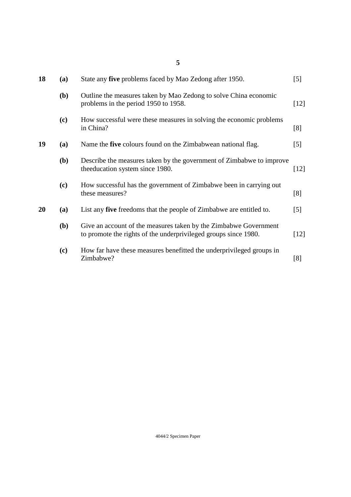| 18 | (a)        | State any five problems faced by Mao Zedong after 1950.                                                                             | $[5]$             |
|----|------------|-------------------------------------------------------------------------------------------------------------------------------------|-------------------|
|    | <b>(b)</b> | Outline the measures taken by Mao Zedong to solve China economic<br>problems in the period 1950 to 1958.                            | $[12]$            |
|    | (c)        | How successful were these measures in solving the economic problems<br>in China?                                                    | [8]               |
| 19 | (a)        | Name the five colours found on the Zimbabwean national flag.                                                                        | $[5]$             |
|    | <b>(b)</b> | Describe the measures taken by the government of Zimbabwe to improve<br>theeducation system since 1980.                             | $[12]$            |
|    | (c)        | How successful has the government of Zimbabwe been in carrying out<br>these measures?                                               | [8]               |
| 20 | (a)        | List any <b>five</b> freedoms that the people of Zimbabwe are entitled to.                                                          | $\lceil 5 \rceil$ |
|    | <b>(b)</b> | Give an account of the measures taken by the Zimbabwe Government<br>to promote the rights of the underprivileged groups since 1980. | [12]              |
|    | (c)        | How far have these measures benefitted the underprivileged groups in<br>Zimbabwe?                                                   | [8]               |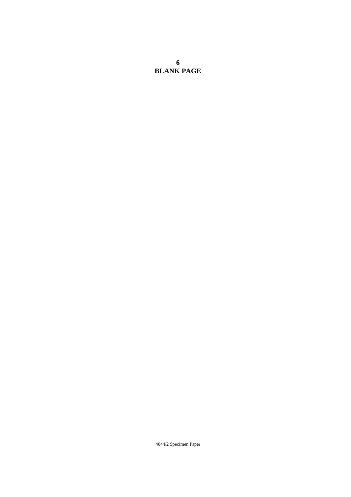**6 BLANK PAGE**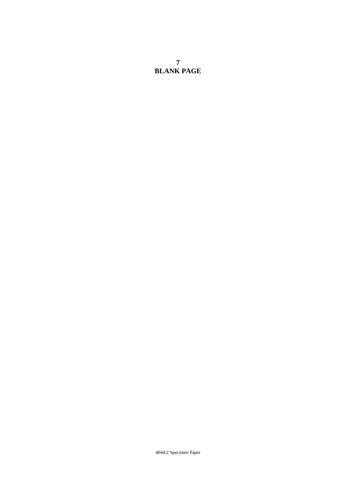## **7 BLANK PAGE**